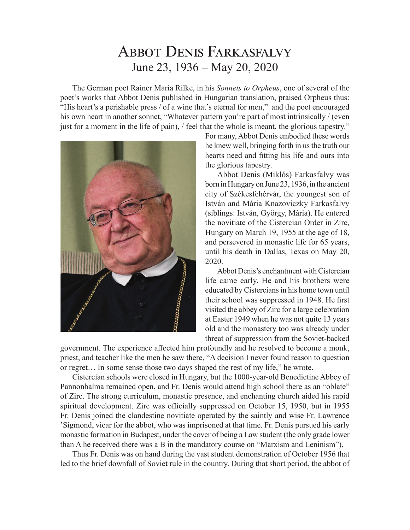## Abbot Denis Farkasfalvy June 23, 1936 – May 20, 2020

The German poet Rainer Maria Rilke, in his *Sonnets to Orpheus*, one of several of the poet's works that Abbot Denis published in Hungarian translation, praised Orpheus thus: "His heart's a perishable press / of a wine that's eternal for men," and the poet encouraged his own heart in another sonnet, "Whatever pattern you're part of most intrinsically / (even just for a moment in the life of pain), / feel that the whole is meant, the glorious tapestry."



For many, Abbot Denis embodied these words he knew well, bringing forth in us the truth our hearts need and fitting his life and ours into the glorious tapestry.

Abbot Denis (Miklós) Farkasfalvy was born in Hungary on June 23, 1936, in the ancient city of Székesfehérvár, the youngest son of István and Mária Knazoviczky Farkasfalvy (siblings: István, György, Mária). He entered the novitiate of the Cistercian Order in Zirc, Hungary on March 19, 1955 at the age of 18, and persevered in monastic life for 65 years, until his death in Dallas, Texas on May 20, 2020.

Abbot Denis's enchantment with Cistercian life came early. He and his brothers were educated by Cistercians in his home town until their school was suppressed in 1948. He first visited the abbey of Zirc for a large celebration at Easter 1949 when he was not quite 13 years old and the monastery too was already under threat of suppression from the Soviet-backed

government. The experience affected him profoundly and he resolved to become a monk, priest, and teacher like the men he saw there, "A decision I never found reason to question or regret… In some sense those two days shaped the rest of my life," he wrote.

Cistercian schools were closed in Hungary, but the 1000-year-old Benedictine Abbey of Pannonhalma remained open, and Fr. Denis would attend high school there as an "oblate" of Zirc. The strong curriculum, monastic presence, and enchanting church aided his rapid spiritual development. Zirc was officially suppressed on October 15, 1950, but in 1955 Fr. Denis joined the clandestine novitiate operated by the saintly and wise Fr. Lawrence 'Sigmond, vicar for the abbot, who was imprisoned at that time. Fr. Denis pursued his early monastic formation in Budapest, under the cover of being a Law student (the only grade lower than A he received there was a B in the mandatory course on "Marxism and Leninism").

Thus Fr. Denis was on hand during the vast student demonstration of October 1956 that led to the brief downfall of Soviet rule in the country. During that short period, the abbot of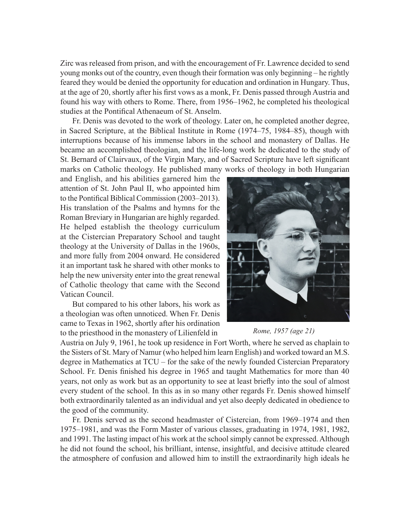Zirc was released from prison, and with the encouragement of Fr. Lawrence decided to send young monks out of the country, even though their formation was only beginning – he rightly feared they would be denied the opportunity for education and ordination in Hungary. Thus, at the age of 20, shortly after his first vows as a monk, Fr. Denis passed through Austria and found his way with others to Rome. There, from 1956–1962, he completed his theological studies at the Pontifical Athenaeum of St. Anselm.

Fr. Denis was devoted to the work of theology. Later on, he completed another degree, in Sacred Scripture, at the Biblical Institute in Rome (1974–75, 1984–85), though with interruptions because of his immense labors in the school and monastery of Dallas. He became an accomplished theologian, and the life-long work he dedicated to the study of St. Bernard of Clairvaux, of the Virgin Mary, and of Sacred Scripture have left significant marks on Catholic theology. He published many works of theology in both Hungarian

and English, and his abilities garnered him the attention of St. John Paul II, who appointed him to the Pontifical Biblical Commission (2003–2013). His translation of the Psalms and hymns for the Roman Breviary in Hungarian are highly regarded. He helped establish the theology curriculum at the Cistercian Preparatory School and taught theology at the University of Dallas in the 1960s, and more fully from 2004 onward. He considered it an important task he shared with other monks to help the new university enter into the great renewal of Catholic theology that came with the Second Vatican Council.

But compared to his other labors, his work as a theologian was often unnoticed. When Fr. Denis came to Texas in 1962, shortly after his ordination to the priesthood in the monastery of Lilienfeld in



*Rome, 1957 (age 21)* 

Austria on July 9, 1961, he took up residence in Fort Worth, where he served as chaplain to the Sisters of St. Mary of Namur (who helped him learn English) and worked toward an M.S. degree in Mathematics at TCU – for the sake of the newly founded Cistercian Preparatory School. Fr. Denis finished his degree in 1965 and taught Mathematics for more than 40 years, not only as work but as an opportunity to see at least briefly into the soul of almost every student of the school. In this as in so many other regards Fr. Denis showed himself both extraordinarily talented as an individual and yet also deeply dedicated in obedience to the good of the community.

Fr. Denis served as the second headmaster of Cistercian, from 1969–1974 and then 1975–1981, and was the Form Master of various classes, graduating in 1974, 1981, 1982, and 1991. The lasting impact of his work at the school simply cannot be expressed. Although he did not found the school, his brilliant, intense, insightful, and decisive attitude cleared the atmosphere of confusion and allowed him to instill the extraordinarily high ideals he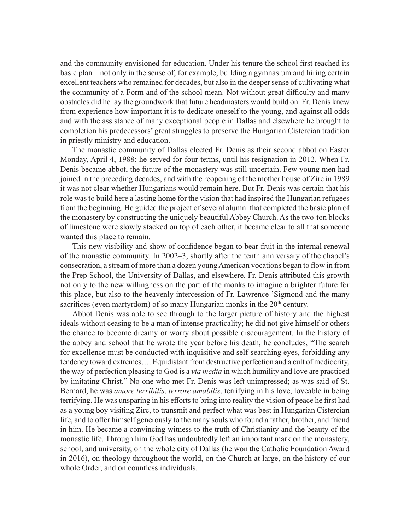and the community envisioned for education. Under his tenure the school first reached its basic plan – not only in the sense of, for example, building a gymnasium and hiring certain excellent teachers who remained for decades, but also in the deeper sense of cultivating what the community of a Form and of the school mean. Not without great difficulty and many obstacles did he lay the groundwork that future headmasters would build on. Fr. Denis knew from experience how important it is to dedicate oneself to the young, and against all odds and with the assistance of many exceptional people in Dallas and elsewhere he brought to completion his predecessors' great struggles to preserve the Hungarian Cistercian tradition in priestly ministry and education.

The monastic community of Dallas elected Fr. Denis as their second abbot on Easter Monday, April 4, 1988; he served for four terms, until his resignation in 2012. When Fr. Denis became abbot, the future of the monastery was still uncertain. Few young men had joined in the preceding decades, and with the reopening of the mother house of Zirc in 1989 it was not clear whether Hungarians would remain here. But Fr. Denis was certain that his role was to build here a lasting home for the vision that had inspired the Hungarian refugees from the beginning. He guided the project of several alumni that completed the basic plan of the monastery by constructing the uniquely beautiful Abbey Church. As the two-ton blocks of limestone were slowly stacked on top of each other, it became clear to all that someone wanted this place to remain.

This new visibility and show of confidence began to bear fruit in the internal renewal of the monastic community. In 2002–3, shortly after the tenth anniversary of the chapel's consecration, a stream of more than a dozen young American vocations began to flow in from the Prep School, the University of Dallas, and elsewhere. Fr. Denis attributed this growth not only to the new willingness on the part of the monks to imagine a brighter future for this place, but also to the heavenly intercession of Fr. Lawrence 'Sigmond and the many sacrifices (even martyrdom) of so many Hungarian monks in the 20<sup>th</sup> century.

Abbot Denis was able to see through to the larger picture of history and the highest ideals without ceasing to be a man of intense practicality; he did not give himself or others the chance to become dreamy or worry about possible discouragement. In the history of the abbey and school that he wrote the year before his death, he concludes, "The search for excellence must be conducted with inquisitive and self-searching eyes, forbidding any tendency toward extremes…. Equidistant from destructive perfection and a cult of mediocrity, the way of perfection pleasing to God is a *via media* in which humility and love are practiced by imitating Christ." No one who met Fr. Denis was left unimpressed; as was said of St. Bernard, he was *amore terribilis*, *terrore amabilis*, terrifying in his love, loveable in being terrifying. He was unsparing in his efforts to bring into reality the vision of peace he first had as a young boy visiting Zirc, to transmit and perfect what was best in Hungarian Cistercian life, and to offer himself generously to the many souls who found a father, brother, and friend in him. He became a convincing witness to the truth of Christianity and the beauty of the monastic life. Through him God has undoubtedly left an important mark on the monastery, school, and university, on the whole city of Dallas (he won the Catholic Foundation Award in 2016), on theology throughout the world, on the Church at large, on the history of our whole Order, and on countless individuals.